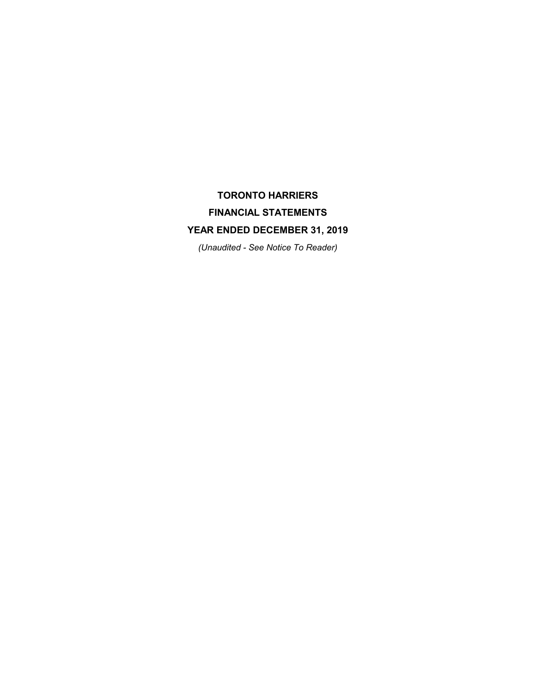# TORONTO HARRIERS FINANCIAL STATEMENTS YEAR ENDED DECEMBER 31, 2019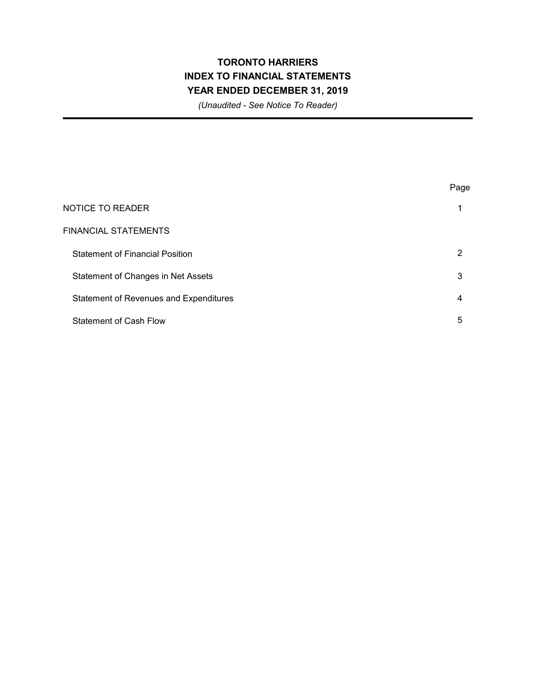## TORONTO HARRIERS INDEX TO FINANCIAL STATEMENTS YEAR ENDED DECEMBER 31, 2019

|                                               | Page |
|-----------------------------------------------|------|
| <b>NOTICE TO READER</b>                       | 1    |
| <b>FINANCIAL STATEMENTS</b>                   |      |
| <b>Statement of Financial Position</b>        | 2    |
| Statement of Changes in Net Assets            | 3    |
| <b>Statement of Revenues and Expenditures</b> | 4    |
| <b>Statement of Cash Flow</b>                 | 5    |
|                                               |      |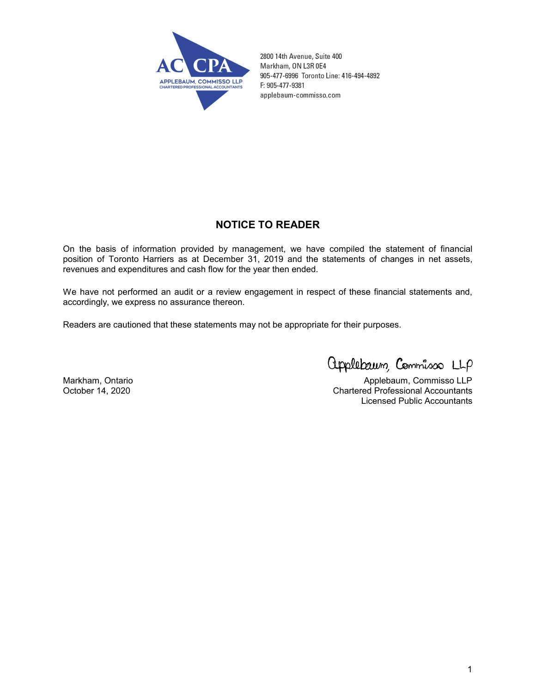

2800 14th Avenue, Suite 400 Markham, ON L3R 0E4 905-477-6996 Toronto Line: 416-494-4892 F: 905-477-9381 applebaum-commisso.com

#### NOTICE TO READER

On the basis of information provided by management, we have compiled the statement of financial position of Toronto Harriers as at December 31, 2019 and the statements of changes in net assets, revenues and expenditures and cash flow for the year then ended.

We have not performed an audit or a review engagement in respect of these financial statements and, accordingly, we express no assurance thereon.

Readers are cautioned that these statements may not be appropriate for their purposes.

applebaum, Commisso LLP

Markham, Ontario **Applebaum, Commisso LLP** October 14, 2020 Chartered Professional Accountants Licensed Public Accountants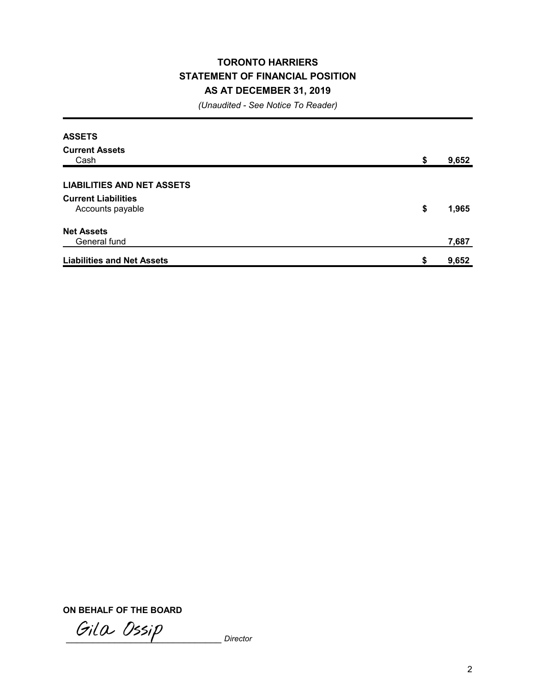### TORONTO HARRIERS STATEMENT OF FINANCIAL POSITION AS AT DECEMBER 31, 2019

(Unaudited - See Notice To Reader)

| <b>ASSETS</b>                                  |             |
|------------------------------------------------|-------------|
| <b>Current Assets</b><br>Cash                  | \$<br>9,652 |
| <b>LIABILITIES AND NET ASSETS</b>              |             |
| <b>Current Liabilities</b><br>Accounts payable | \$<br>1,965 |
| <b>Net Assets</b><br>General fund              | 7,687       |
| <b>Liabilities and Net Assets</b>              | \$<br>9,652 |

ON BEHALF OF THE BOARD

Gila Ossip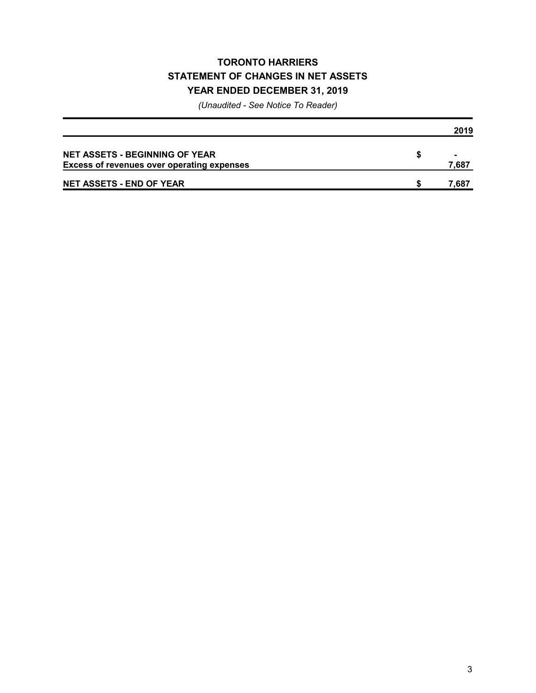### TORONTO HARRIERS STATEMENT OF CHANGES IN NET ASSETS YEAR ENDED DECEMBER 31, 2019

|                                                   | 2019  |
|---------------------------------------------------|-------|
| <b>NET ASSETS - BEGINNING OF YEAR</b>             |       |
| <b>Excess of revenues over operating expenses</b> | 7,687 |
| <b>NET ASSETS - END OF YEAR</b>                   | 7,687 |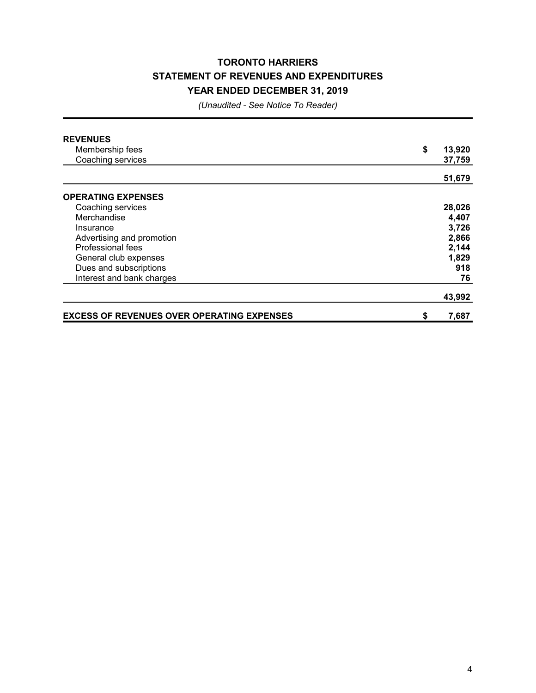### TORONTO HARRIERS STATEMENT OF REVENUES AND EXPENDITURES YEAR ENDED DECEMBER 31, 2019

| <b>REVENUES</b>                                   |              |
|---------------------------------------------------|--------------|
| Membership fees                                   | \$<br>13,920 |
| Coaching services                                 | 37,759       |
|                                                   | 51,679       |
|                                                   |              |
| <b>OPERATING EXPENSES</b>                         |              |
| Coaching services                                 | 28,026       |
| Merchandise                                       | 4,407        |
| Insurance                                         | 3,726        |
| Advertising and promotion                         | 2,866        |
| <b>Professional fees</b>                          | 2,144        |
| General club expenses                             | 1,829        |
| Dues and subscriptions                            | 918          |
| Interest and bank charges                         | 76           |
|                                                   | 43,992       |
| <b>EXCESS OF REVENUES OVER OPERATING EXPENSES</b> | \$<br>7,687  |